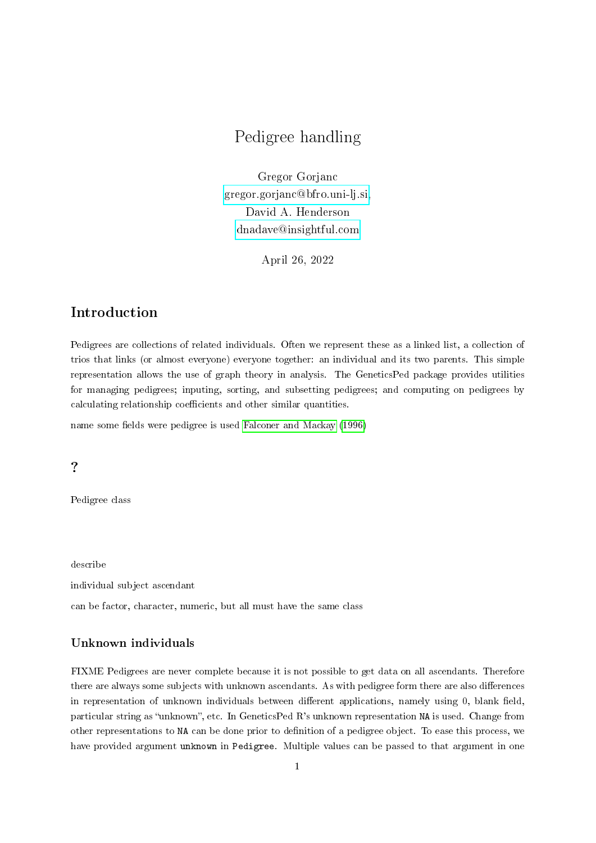# Pedigree handling

Gregor Gorjanc [gregor.gorjanc@bfro.uni-lj.si,](mailto:gregor.gorjanc@bfro.uni-lj.si) David A. Henderson [dnadave@insightful.com](mailto:dnadave@insightful.com)

April 26, 2022

### Introduction

Pedigrees are collections of related individuals. Often we represent these as a linked list, a collection of trios that links (or almost everyone) everyone together: an individual and its two parents. This simple representation allows the use of graph theory in analysis. The GeneticsPed package provides utilities for managing pedigrees; inputing, sorting, and subsetting pedigrees; and computing on pedigrees by calculating relationship coefficients and other similar quantities.

name some fields were pedigree is used [Falconer and Mackay](#page-3-0) [\(1996\)](#page-3-0)

?

Pedigree class

describe

individual subject ascendant

can be factor, character, numeric, but all must have the same class

#### Unknown individuals

FIXME Pedigrees are never complete because it is not possible to get data on all ascendants. Therefore there are always some subjects with unknown ascendants. As with pedigree form there are also differences in representation of unknown individuals between different applications, namely using 0, blank field, particular string as "unknown", etc. In GeneticsPed R's unknown representation NA is used. Change from other representations to NA can be done prior to denition of a pedigree object. To ease this process, we have provided argument unknown in Pedigree. Multiple values can be passed to that argument in one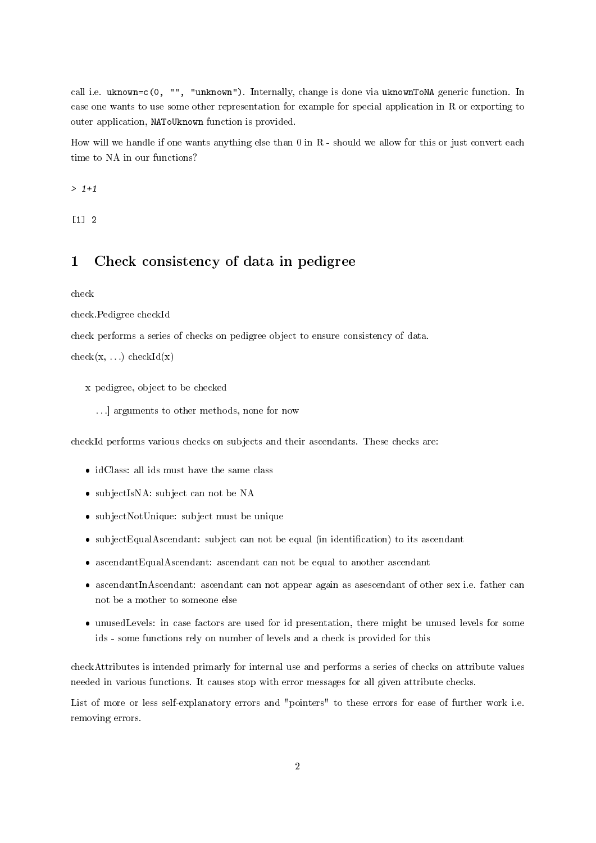call i.e. uknown=c(0, "", "unknown"). Internally, change is done via uknownToNA generic function. In case one wants to use some other representation for example for special application in R or exporting to outer application, NAToUknown function is provided.

How will we handle if one wants anything else than 0 in R - should we allow for this or just convert each time to NA in our functions?

 $> 1+1$ 

 $\lceil 1 \rceil$  2

## 1 Check consistency of data in pedigree

check

check.Pedigree checkId

check performs a series of checks on pedigree object to ensure consistency of data.

 $check(x, ...)$  checkId $(x)$ 

- x pedigree, object to be checked
	- . . .] arguments to other methods, none for now

checkId performs various checks on subjects and their ascendants. These checks are:

- idClass: all ids must have the same class
- subjectIsNA: subject can not be NA
- subjectNotUnique: subject must be unique
- subjectEqualAscendant: subject can not be equal (in identification) to its ascendant
- ascendantEqualAscendant: ascendant can not be equal to another ascendant
- ascendantInAscendant: ascendant can not appear again as asescendant of other sex i.e. father can not be a mother to someone else
- unusedLevels: in case factors are used for id presentation, there might be unused levels for some ids - some functions rely on number of levels and a check is provided for this

checkAttributes is intended primarly for internal use and performs a series of checks on attribute values needed in various functions. It causes stop with error messages for all given attribute checks.

List of more or less self-explanatory errors and "pointers" to these errors for ease of further work i.e. removing errors.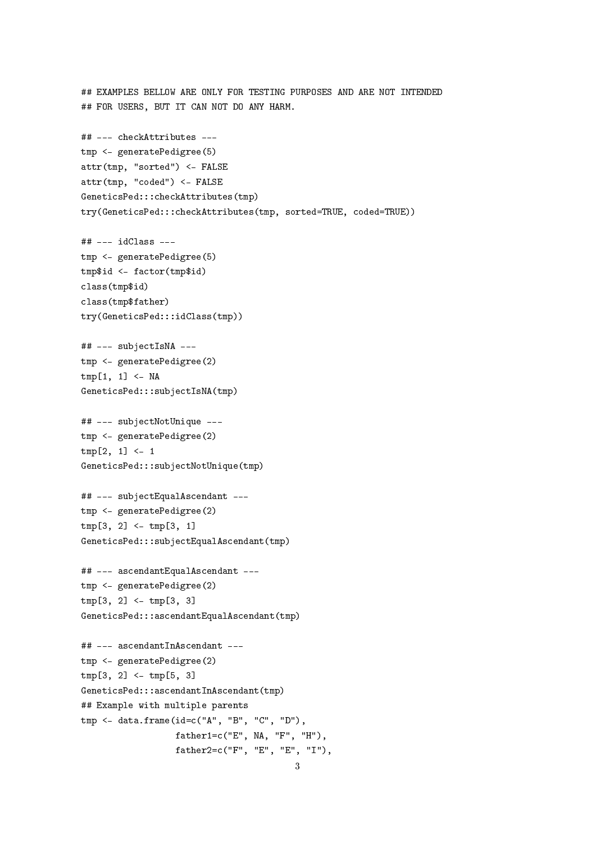## EXAMPLES BELLOW ARE ONLY FOR TESTING PURPOSES AND ARE NOT INTENDED ## FOR USERS, BUT IT CAN NOT DO ANY HARM. ## --- checkAttributes -- tmp <- generatePedigree(5) attr(tmp, "sorted") <- FALSE attr(tmp, "coded") <- FALSE GeneticsPed:::checkAttributes(tmp) try(GeneticsPed:::checkAttributes(tmp, sorted=TRUE, coded=TRUE)) ## --- idClass -- tmp <- generatePedigree(5) tmp\$id <- factor(tmp\$id) class(tmp\$id) class(tmp\$father) try(GeneticsPed:::idClass(tmp)) ## --- subjectIsNA -- tmp <- generatePedigree(2)  $tmp[1, 1] < -NA$ GeneticsPed:::subjectIsNA(tmp) ## --- subjectNotUnique -- tmp <- generatePedigree(2)  $tmp[2, 1] < -1$ GeneticsPed:::subjectNotUnique(tmp) ## --- subjectEqualAscendant -- tmp <- generatePedigree(2) tmp[3, 2] <- tmp[3, 1] GeneticsPed:::subjectEqualAscendant(tmp) ## --- ascendantEqualAscendant -- tmp <- generatePedigree(2)  $tmp[3, 2] < -tmp[3, 3]$ GeneticsPed:::ascendantEqualAscendant(tmp) ## --- ascendantInAscendant -- tmp <- generatePedigree(2) tmp[3, 2] <- tmp[5, 3] GeneticsPed:::ascendantInAscendant(tmp) ## Example with multiple parents tmp <- data.frame(id=c("A", "B", "C", "D"), father1=c("E", NA, "F", "H"), father2=c("F", "E", "E", "I"),